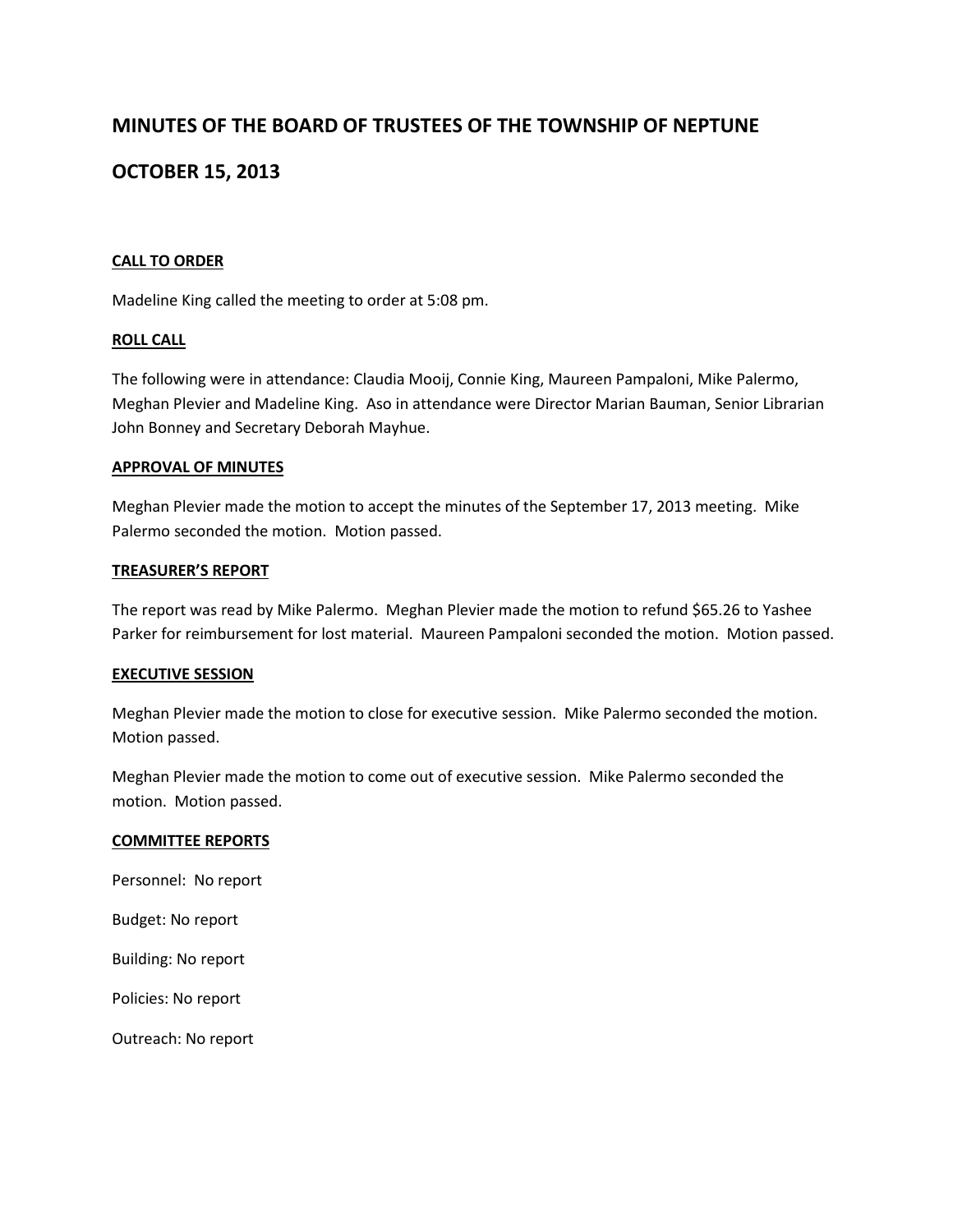# **MINUTES OF THE BOARD OF TRUSTEES OF THE TOWNSHIP OF NEPTUNE**

# **OCTOBER 15, 2013**

## **CALL TO ORDER**

Madeline King called the meeting to order at 5:08 pm.

#### **ROLL CALL**

The following were in attendance: Claudia Mooij, Connie King, Maureen Pampaloni, Mike Palermo, Meghan Plevier and Madeline King. Aso in attendance were Director Marian Bauman, Senior Librarian John Bonney and Secretary Deborah Mayhue.

#### **APPROVAL OF MINUTES**

Meghan Plevier made the motion to accept the minutes of the September 17, 2013 meeting. Mike Palermo seconded the motion. Motion passed.

#### **TREASURER'S REPORT**

The report was read by Mike Palermo. Meghan Plevier made the motion to refund \$65.26 to Yashee Parker for reimbursement for lost material. Maureen Pampaloni seconded the motion. Motion passed.

#### **EXECUTIVE SESSION**

Meghan Plevier made the motion to close for executive session. Mike Palermo seconded the motion. Motion passed.

Meghan Plevier made the motion to come out of executive session. Mike Palermo seconded the motion. Motion passed.

#### **COMMITTEE REPORTS**

Personnel: No report

Budget: No report

Building: No report

Policies: No report

Outreach: No report